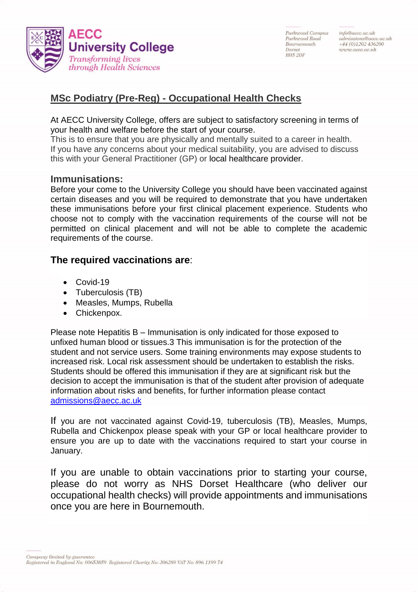

Parksvood Campus Parksmod Road Bournemouth Dorset **BH5 2DF** 

info@aecc.ac.uk  $admissions@aece.ac.uk$  $+44(0)1202436200$ www.aecc.ac.uk

## **MSc Podiatry (Pre-Reg) - Occupational Health Checks**

At AECC University College, offers are subject to satisfactory screening in terms of your health and welfare before the start of your course.

This is to ensure that you are physically and mentally suited to a career in health. If you have any concerns about your medical suitability, you are advised to discuss this with your General Practitioner (GP) or local healthcare provider.

## **Immunisations:**

Before your come to the University College you should have been vaccinated against certain diseases and you will be required to demonstrate that you have undertaken these immunisations before your first clinical placement experience. Students who choose not to comply with the vaccination requirements of the course will not be permitted on clinical placement and will not be able to complete the academic requirements of the course.

## **The required vaccinations are**:

- Covid-19
- Tuberculosis (TB)
- Measles, Mumps, Rubella
- Chickenpox.

Please note Hepatitis B – Immunisation is only indicated for those exposed to unfixed human blood or tissues.3 This immunisation is for the protection of the student and not service users. Some training environments may expose students to increased risk. Local risk assessment should be undertaken to establish the risks. Students should be offered this immunisation if they are at significant risk but the decision to accept the immunisation is that of the student after provision of adequate information about risks and benefits, for further information please contact [admissions@aecc.ac.uk](mailto:admissions@aecc.ac.uk)

If you are not vaccinated against Covid-19, tuberculosis (TB), Measles, Mumps, Rubella and Chickenpox please speak with your GP or local healthcare provider to ensure you are up to date with the vaccinations required to start your course in January.

If you are unable to obtain vaccinations prior to starting your course, please do not worry as NHS Dorset Healthcare (who deliver our occupational health checks) will provide appointments and immunisations once you are here in Bournemouth.